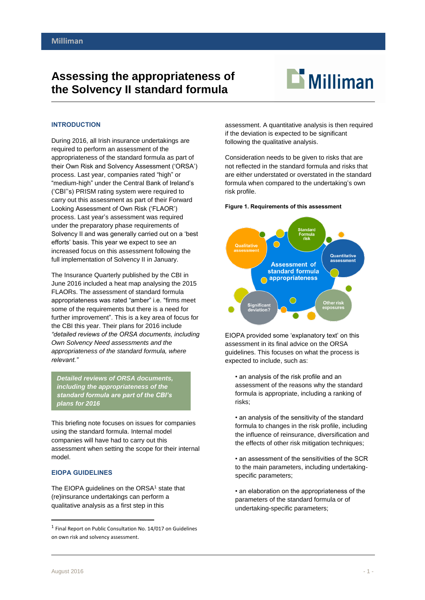# **Assessing the appropriateness of the Solvency II standard formula**



## **INTRODUCTION**

During 2016, all Irish insurance undertakings are required to perform an assessment of the appropriateness of the standard formula as part of their Own Risk and Solvency Assessment ('ORSA') process. Last year, companies rated "high" or "medium-high" under the Central Bank of Ireland's ('CBI''s) PRISM rating system were required to carry out this assessment as part of their Forward Looking Assessment of Own Risk ('FLAOR') process. Last year's assessment was required under the preparatory phase requirements of Solvency II and was generally carried out on a 'best efforts' basis. This year we expect to see an increased focus on this assessment following the full implementation of Solvency II in January.

The Insurance Quarterly published by the CBI in June 2016 included a heat map analysing the 2015 FLAORs. The assessment of standard formula appropriateness was rated "amber" i.e. "firms meet some of the requirements but there is a need for further improvement". This is a key area of focus for the CBI this year. Their plans for 2016 include *"detailed reviews of the ORSA documents, including Own Solvency Need assessments and the appropriateness of the standard formula, where relevant."*

*Detailed reviews of ORSA documents, including the appropriateness of the standard formula are part of the CBI's plans for 2016*

This briefing note focuses on issues for companies using the standard formula. Internal model companies will have had to carry out this assessment when setting the scope for their internal model.

# **EIOPA GUIDELINES**

The EIOPA guidelines on the ORSA<sup>1</sup> state that (re)insurance undertakings can perform a qualitative analysis as a first step in this

assessment. A quantitative analysis is then required if the deviation is expected to be significant following the qualitative analysis.

Consideration needs to be given to risks that are not reflected in the standard formula and risks that are either understated or overstated in the standard formula when compared to the undertaking's own risk profile.

#### **Figure 1. Requirements of this assessment**



EIOPA provided some 'explanatory text' on this assessment in its final advice on the ORSA guidelines. This focuses on what the process is expected to include, such as:

• an analysis of the risk profile and an assessment of the reasons why the standard formula is appropriate, including a ranking of risks;

• an analysis of the sensitivity of the standard formula to changes in the risk profile, including the influence of reinsurance, diversification and the effects of other risk mitigation techniques;

• an assessment of the sensitivities of the SCR to the main parameters, including undertakingspecific parameters;

• an elaboration on the appropriateness of the parameters of the standard formula or of undertaking-specific parameters;

1

<sup>&</sup>lt;sup>1</sup> Final Report on Public Consultation No. 14/017 on Guidelines on own risk and solvency assessment.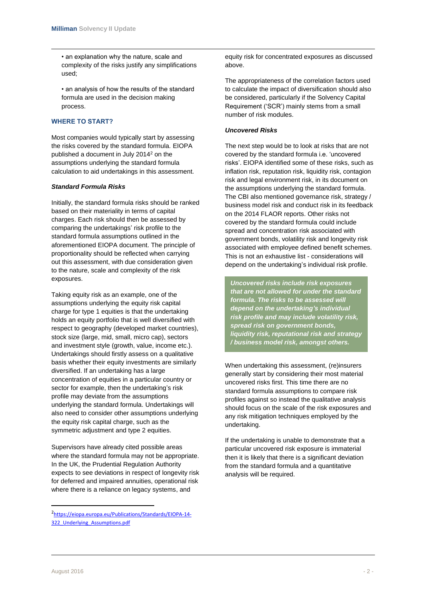• an explanation why the nature, scale and complexity of the risks justify any simplifications used;

• an analysis of how the results of the standard formula are used in the decision making process.

# **WHERE TO START?**

Most companies would typically start by assessing the risks covered by the standard formula. EIOPA published a document in July 2014<sup>2</sup> on the assumptions underlying the standard formula calculation to aid undertakings in this assessment.

# *Standard Formula Risks*

Initially, the standard formula risks should be ranked based on their materiality in terms of capital charges. Each risk should then be assessed by comparing the undertakings' risk profile to the standard formula assumptions outlined in the aforementioned EIOPA document. The principle of proportionality should be reflected when carrying out this assessment, with due consideration given to the nature, scale and complexity of the risk exposures.

Taking equity risk as an example, one of the assumptions underlying the equity risk capital charge for type 1 equities is that the undertaking holds an equity portfolio that is well diversified with respect to geography (developed market countries), stock size (large, mid, small, micro cap), sectors and investment style (growth, value, income etc.). Undertakings should firstly assess on a qualitative basis whether their equity investments are similarly diversified. If an undertaking has a large concentration of equities in a particular country or sector for example, then the undertaking's risk profile may deviate from the assumptions underlying the standard formula. Undertakings will also need to consider other assumptions underlying the equity risk capital charge, such as the symmetric adjustment and type 2 equities.

Supervisors have already cited possible areas where the standard formula may not be appropriate. In the UK, the Prudential Regulation Authority expects to see deviations in respect of longevity risk for deferred and impaired annuities, operational risk where there is a reliance on legacy systems, and

equity risk for concentrated exposures as discussed above.

The appropriateness of the correlation factors used to calculate the impact of diversification should also be considered, particularly if the Solvency Capital Requirement ('SCR') mainly stems from a small number of risk modules.

# *Uncovered Risks*

The next step would be to look at risks that are not covered by the standard formula i.e. 'uncovered risks'. EIOPA identified some of these risks, such as inflation risk, reputation risk, liquidity risk, contagion risk and legal environment risk, in its document on the assumptions underlying the standard formula. The CBI also mentioned governance risk, strategy / business model risk and conduct risk in its feedback on the 2014 FLAOR reports. Other risks not covered by the standard formula could include spread and concentration risk associated with government bonds, volatility risk and longevity risk associated with employee defined benefit schemes. This is not an exhaustive list - considerations will depend on the undertaking's individual risk profile.

*Uncovered risks include risk exposures that are not allowed for under the standard formula. The risks to be assessed will depend on the undertaking's individual risk profile and may include volatility risk, spread risk on government bonds, liquidity risk, reputational risk and strategy / business model risk, amongst others.* 

When undertaking this assessment, (re)insurers generally start by considering their most material uncovered risks first. This time there are no standard formula assumptions to compare risk profiles against so instead the qualitative analysis should focus on the scale of the risk exposures and any risk mitigation techniques employed by the undertaking.

If the undertaking is unable to demonstrate that a particular uncovered risk exposure is immaterial then it is likely that there is a significant deviation from the standard formula and a quantitative analysis will be required.

 $\overline{a}$ 

<sup>2</sup> [https://eiopa.europa.eu/Publications/Standards/EIOPA-14-](https://eiopa.europa.eu/Publications/Standards/EIOPA-14-322_Underlying_Assumptions.pdf) 322 Underlying Assumptions.pdf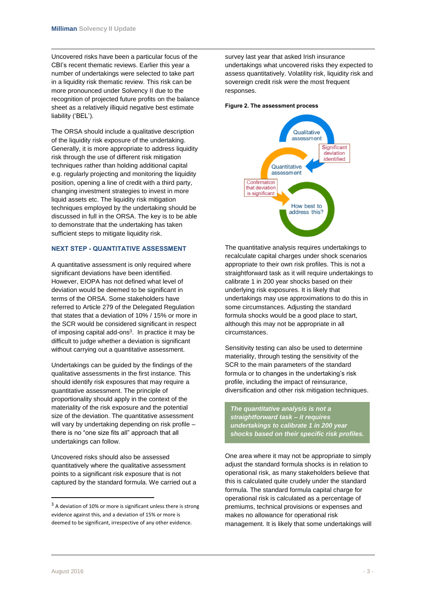Uncovered risks have been a particular focus of the CBI's recent thematic reviews. Earlier this year a number of undertakings were selected to take part in a liquidity risk thematic review. This risk can be more pronounced under Solvency II due to the recognition of projected future profits on the balance sheet as a relatively illiquid negative best estimate liability ('BEL').

The ORSA should include a qualitative description of the liquidity risk exposure of the undertaking. Generally, it is more appropriate to address liquidity risk through the use of different risk mitigation techniques rather than holding additional capital e.g. regularly projecting and monitoring the liquidity position, opening a line of credit with a third party, changing investment strategies to invest in more liquid assets etc. The liquidity risk mitigation techniques employed by the undertaking should be discussed in full in the ORSA. The key is to be able to demonstrate that the undertaking has taken sufficient steps to mitigate liquidity risk.

# **NEXT STEP - QUANTITATIVE ASSESSMENT**

A quantitative assessment is only required where significant deviations have been identified. However, EIOPA has not defined what level of deviation would be deemed to be significant in terms of the ORSA. Some stakeholders have referred to Article 279 of the Delegated Regulation that states that a deviation of 10% / 15% or more in the SCR would be considered significant in respect of imposing capital add-ons<sup>3</sup>. In practice it may be difficult to judge whether a deviation is significant without carrying out a quantitative assessment.

Undertakings can be guided by the findings of the qualitative assessments in the first instance. This should identify risk exposures that may require a quantitative assessment. The principle of proportionality should apply in the context of the materiality of the risk exposure and the potential size of the deviation. The quantitative assessment will vary by undertaking depending on risk profile there is no "one size fits all" approach that all undertakings can follow.

Uncovered risks should also be assessed quantitatively where the qualitative assessment points to a significant risk exposure that is not captured by the standard formula. We carried out a survey last year that asked Irish insurance undertakings what uncovered risks they expected to assess quantitatively. Volatility risk, liquidity risk and sovereign credit risk were the most frequent responses.

#### **Figure 2. The assessment process**



The quantitative analysis requires undertakings to recalculate capital charges under shock scenarios appropriate to their own risk profiles. This is not a straightforward task as it will require undertakings to calibrate 1 in 200 year shocks based on their underlying risk exposures. It is likely that undertakings may use approximations to do this in some circumstances. Adjusting the standard formula shocks would be a good place to start, although this may not be appropriate in all circumstances.

Sensitivity testing can also be used to determine materiality, through testing the sensitivity of the SCR to the main parameters of the standard formula or to changes in the undertaking's risk profile, including the impact of reinsurance, diversification and other risk mitigation techniques.

*The quantitative analysis is not a straightforward task – it requires undertakings to calibrate 1 in 200 year shocks based on their specific risk profiles.* 

One area where it may not be appropriate to simply adjust the standard formula shocks is in relation to operational risk, as many stakeholders believe that this is calculated quite crudely under the standard formula. The standard formula capital charge for operational risk is calculated as a percentage of premiums, technical provisions or expenses and makes no allowance for operational risk management. It is likely that some undertakings will

**.** 

 $3$  A deviation of 10% or more is significant unless there is strong evidence against this, and a deviation of 15% or more is deemed to be significant, irrespective of any other evidence.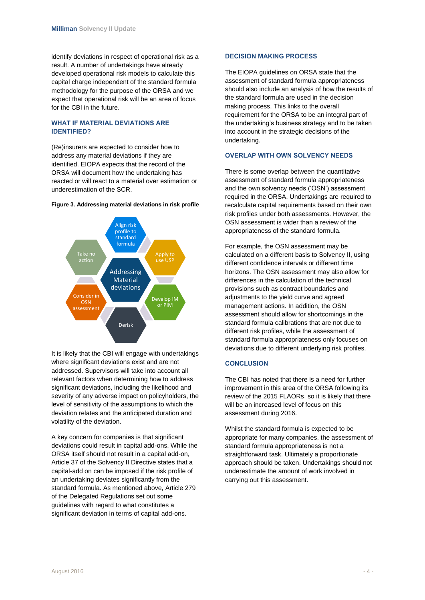identify deviations in respect of operational risk as a result. A number of undertakings have already developed operational risk models to calculate this capital charge independent of the standard formula methodology for the purpose of the ORSA and we expect that operational risk will be an area of focus for the CBI in the future.

# **WHAT IF MATERIAL DEVIATIONS ARE IDENTIFIED?**

(Re)insurers are expected to consider how to address any material deviations if they are identified. EIOPA expects that the record of the ORSA will document how the undertaking has reacted or will react to a material over estimation or underestimation of the SCR.



#### **Figure 3. Addressing material deviations in risk profile**

It is likely that the CBI will engage with undertakings where significant deviations exist and are not addressed. Supervisors will take into account all relevant factors when determining how to address significant deviations, including the likelihood and severity of any adverse impact on policyholders, the level of sensitivity of the assumptions to which the deviation relates and the anticipated duration and volatility of the deviation.

A key concern for companies is that significant deviations could result in capital add-ons. While the ORSA itself should not result in a capital add-on, Article 37 of the Solvency II Directive states that a capital-add on can be imposed if the risk profile of an undertaking deviates significantly from the standard formula. As mentioned above, Article 279 of the Delegated Regulations set out some guidelines with regard to what constitutes a significant deviation in terms of capital add-ons.

#### **DECISION MAKING PROCESS**

The EIOPA guidelines on ORSA state that the assessment of standard formula appropriateness should also include an analysis of how the results of the standard formula are used in the decision making process. This links to the overall requirement for the ORSA to be an integral part of the undertaking's business strategy and to be taken into account in the strategic decisions of the undertaking.

# **OVERLAP WITH OWN SOLVENCY NEEDS**

There is some overlap between the quantitative assessment of standard formula appropriateness and the own solvency needs ('OSN') assessment required in the ORSA. Undertakings are required to recalculate capital requirements based on their own risk profiles under both assessments. However, the OSN assessment is wider than a review of the appropriateness of the standard formula.

For example, the OSN assessment may be calculated on a different basis to Solvency II, using different confidence intervals or different time horizons. The OSN assessment may also allow for differences in the calculation of the technical provisions such as contract boundaries and adjustments to the yield curve and agreed management actions. In addition, the OSN assessment should allow for shortcomings in the standard formula calibrations that are not due to different risk profiles, while the assessment of standard formula appropriateness only focuses on deviations due to different underlying risk profiles.

# **CONCLUSION**

The CBI has noted that there is a need for further improvement in this area of the ORSA following its review of the 2015 FLAORs, so it is likely that there will be an increased level of focus on this assessment during 2016.

Whilst the standard formula is expected to be appropriate for many companies, the assessment of standard formula appropriateness is not a straightforward task. Ultimately a proportionate approach should be taken. Undertakings should not underestimate the amount of work involved in carrying out this assessment.